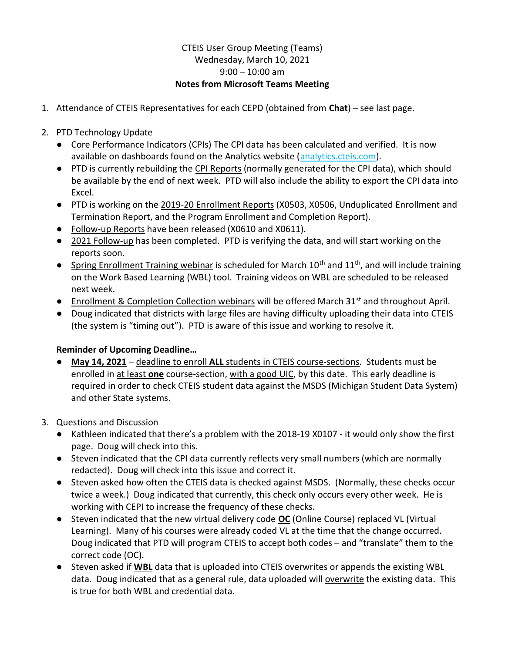## CTEIS User Group Meeting (Teams) Wednesday, March 10, 2021  $9:00 - 10:00$  am Notes from Microsoft Teams Meeting

- 1. Attendance of CTEIS Representatives for each CEPD (obtained from Chat) see last page.
- 2. PTD Technology Update
	- Core Performance Indicators (CPIs) The CPI data has been calculated and verified. It is now available on dashboards found on the Analytics website (analytics.cteis.com).
	- PTD is currently rebuilding the CPI Reports (normally generated for the CPI data), which should be available by the end of next week. PTD will also include the ability to export the CPI data into Excel.
	- PTD is working on the 2019-20 Enrollment Reports (X0503, X0506, Unduplicated Enrollment and Termination Report, and the Program Enrollment and Completion Report).
	- Follow-up Reports have been released (X0610 and X0611).
	- 2021 Follow-up has been completed. PTD is verifying the data, and will start working on the reports soon.
	- **•** Spring Enrollment Training webinar is scheduled for March  $10<sup>th</sup>$  and  $11<sup>th</sup>$ , and will include training on the Work Based Learning (WBL) tool. Training videos on WBL are scheduled to be released next week.
	- Enrollment & Completion Collection webinars will be offered March 31<sup>st</sup> and throughout April.
	- Doug indicated that districts with large files are having difficulty uploading their data into CTEIS (the system is "timing out"). PTD is aware of this issue and working to resolve it.

## Reminder of Upcoming Deadline…

- May 14, 2021 deadline to enroll ALL students in CTEIS course-sections. Students must be enrolled in at least one course-section, with a good UIC, by this date. This early deadline is required in order to check CTEIS student data against the MSDS (Michigan Student Data System) and other State systems.
- 3. Questions and Discussion
	- Kathleen indicated that there's a problem with the 2018-19 X0107 it would only show the first page. Doug will check into this.
	- Steven indicated that the CPI data currently reflects very small numbers (which are normally redacted). Doug will check into this issue and correct it.
	- Steven asked how often the CTEIS data is checked against MSDS. (Normally, these checks occur twice a week.) Doug indicated that currently, this check only occurs every other week. He is working with CEPI to increase the frequency of these checks.
	- Steven indicated that the new virtual delivery code **OC** (Online Course) replaced VL (Virtual Learning). Many of his courses were already coded VL at the time that the change occurred. Doug indicated that PTD will program CTEIS to accept both codes – and "translate" them to the correct code (OC).
	- Steven asked if WBL data that is uploaded into CTEIS overwrites or appends the existing WBL data. Doug indicated that as a general rule, data uploaded will overwrite the existing data. This is true for both WBL and credential data.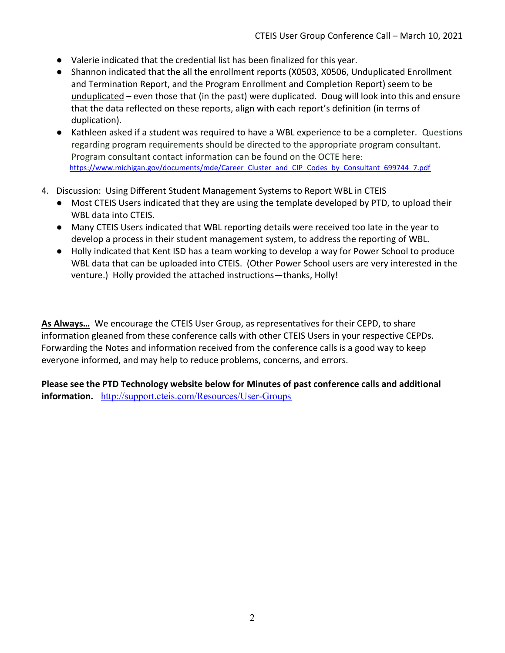- Valerie indicated that the credential list has been finalized for this year.
- Shannon indicated that the all the enrollment reports (X0503, X0506, Unduplicated Enrollment and Termination Report, and the Program Enrollment and Completion Report) seem to be unduplicated – even those that (in the past) were duplicated. Doug will look into this and ensure that the data reflected on these reports, align with each report's definition (in terms of duplication).
- Kathleen asked if a student was required to have a WBL experience to be a completer. Questions regarding program requirements should be directed to the appropriate program consultant. Program consultant contact information can be found on the OCTE here: https://www.michigan.gov/documents/mde/Career\_Cluster\_and\_CIP\_Codes\_by\_Consultant\_699744\_7.pdf
- 4. Discussion: Using Different Student Management Systems to Report WBL in CTEIS
	- Most CTEIS Users indicated that they are using the template developed by PTD, to upload their WBL data into CTEIS.
	- Many CTEIS Users indicated that WBL reporting details were received too late in the year to develop a process in their student management system, to address the reporting of WBL.
	- Holly indicated that Kent ISD has a team working to develop a way for Power School to produce WBL data that can be uploaded into CTEIS. (Other Power School users are very interested in the venture.) Holly provided the attached instructions—thanks, Holly!

As Always… We encourage the CTEIS User Group, as representatives for their CEPD, to share information gleaned from these conference calls with other CTEIS Users in your respective CEPDs. Forwarding the Notes and information received from the conference calls is a good way to keep everyone informed, and may help to reduce problems, concerns, and errors.

Please see the PTD Technology website below for Minutes of past conference calls and additional information. http://support.cteis.com/Resources/User-Groups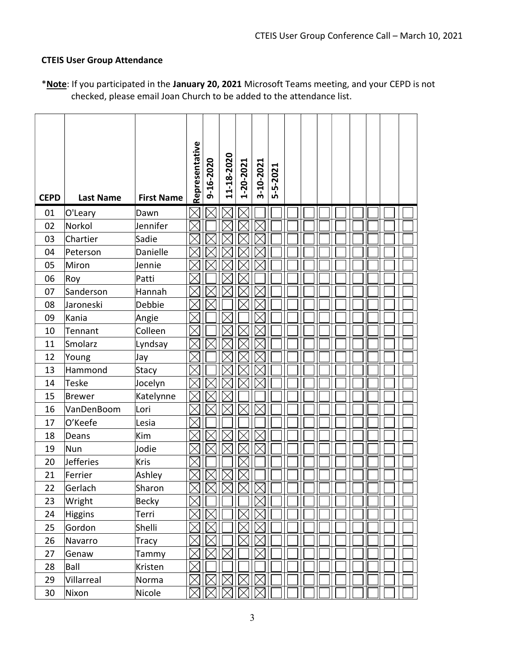## CTEIS User Group Attendance

| <b>CEPD</b> | <b>Last Name</b> | <b>First Name</b> | Representative     | 9-16-2020   | 11-18-2020 | 1-20-2021   | 3-10-2021   | 5-5-2021 |  |  |  |  |  |
|-------------|------------------|-------------------|--------------------|-------------|------------|-------------|-------------|----------|--|--|--|--|--|
| 01          | O'Leary          | Dawn              |                    |             |            |             |             |          |  |  |  |  |  |
| 02          | Norkol           | Jennifer          |                    |             |            |             |             |          |  |  |  |  |  |
| 03          | Chartier         | Sadie             |                    |             |            |             |             |          |  |  |  |  |  |
| 04          | Peterson         | Danielle          |                    |             |            |             |             |          |  |  |  |  |  |
| 05          | Miron            | Jennie            |                    |             |            |             |             |          |  |  |  |  |  |
| 06          | Roy              | Patti             |                    |             |            |             |             |          |  |  |  |  |  |
| 07          | Sanderson        | Hannah            |                    |             |            |             |             |          |  |  |  |  |  |
| 08          | Jaroneski        | Debbie            |                    |             |            |             |             |          |  |  |  |  |  |
| 09          | Kania            | Angie             |                    |             |            |             |             |          |  |  |  |  |  |
| 10          | Tennant          | Colleen           |                    |             |            |             |             |          |  |  |  |  |  |
| 11          | Smolarz          | Lyndsay           |                    |             |            |             |             |          |  |  |  |  |  |
| 12          | Young            | Jay               |                    |             |            |             |             |          |  |  |  |  |  |
| 13          | Hammond          | Stacy             |                    |             |            |             |             |          |  |  |  |  |  |
| 14          | <b>Teske</b>     | Jocelyn           |                    |             |            |             |             |          |  |  |  |  |  |
| 15          | <b>Brewer</b>    | Katelynne         |                    |             |            |             |             |          |  |  |  |  |  |
| 16          | VanDenBoom       | Lori              |                    |             |            |             |             |          |  |  |  |  |  |
| 17          | O'Keefe          | Lesia             |                    |             |            |             |             |          |  |  |  |  |  |
| 18          | Deans            | Kim               |                    |             |            |             |             |          |  |  |  |  |  |
| 19          | Nun              | Jodie             |                    |             |            |             |             |          |  |  |  |  |  |
| 20          | <b>Jefferies</b> | Kris              |                    |             |            |             |             |          |  |  |  |  |  |
| 21          | Ferrier          | Ashley            |                    |             |            |             |             |          |  |  |  |  |  |
| 22          | Gerlach          | Sharon            | $\mathbb{X}% _{n}$ | $\boxtimes$ |            | $\boxtimes$ | $\boxtimes$ |          |  |  |  |  |  |
| 23          | Wright           | Becky             | IX                 |             |            |             | $\boxtimes$ |          |  |  |  |  |  |
| 24          | <b>Higgins</b>   | Terri             |                    |             |            |             | $\times$    |          |  |  |  |  |  |
| 25          | Gordon           | Shelli            |                    |             |            |             |             |          |  |  |  |  |  |
| 26          | Navarro          | Tracy             |                    |             |            | ∣≻          |             |          |  |  |  |  |  |
| 27          | Genaw            | Tammy             |                    |             |            |             |             |          |  |  |  |  |  |
| 28          | Ball             | Kristen           |                    |             |            |             |             |          |  |  |  |  |  |
| 29          | Villarreal       | Norma             |                    |             |            |             |             |          |  |  |  |  |  |
| 30          | Nixon            | Nicole            |                    |             |            |             | ✓           |          |  |  |  |  |  |

\*Note: If you participated in the January 20, 2021 Microsoft Teams meeting, and your CEPD is not checked, please email Joan Church to be added to the attendance list.